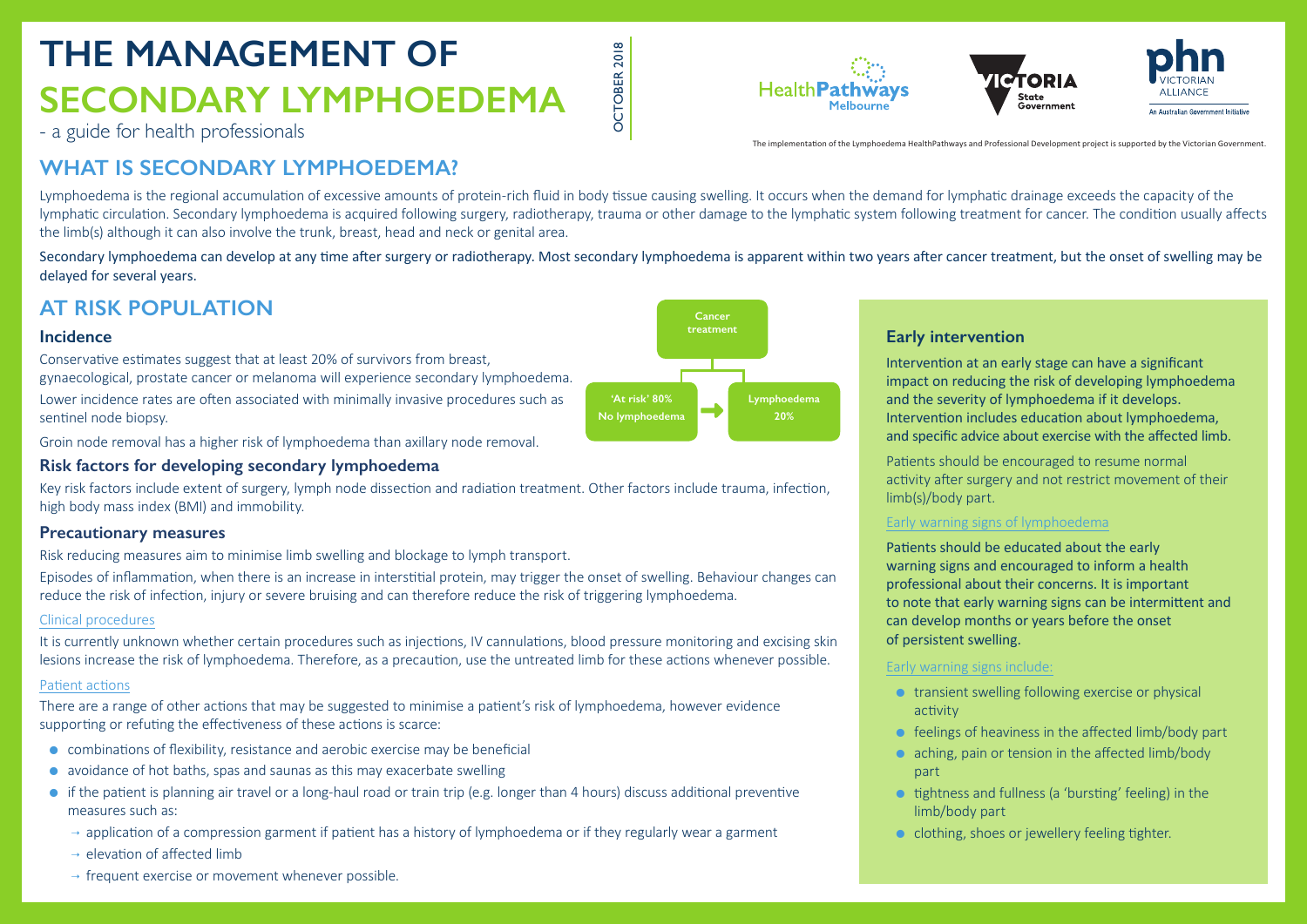# **THE MANAGEMENT OF SECONDARY LYMPHOEDEMA**

- Intervention at an early stage can have a significant impact on reducing the risk of developing lymphoedema and the severity of lymphoedema if it develops. Intervention includes education about lymphoedema, and specific advice about exercise with the affected limb.
- Patients should be encouraged to resume normal activity after surgery and not restrict movement of their
- Patients should be educated about the early warning signs and encouraged to inform a health professional about their concerns. It is important to note that early warning signs can be intermittent and can develop months or years before the onset
- $\bullet$  transient swelling following exercise or physical

- a guide for health professionals

OCTOBER 2018

ŏ

**CTOBER 2018** 

# **Early intervention**

- activity
- $\bullet$  feelings of heaviness in the affected limb/body part  $\bullet$  aching, pain or tension in the affected limb/body
- part
- $\bullet$  tightness and fullness (a 'bursting' feeling) in the limb/body part
- $\bullet$  clothing, shoes or jewellery feeling tighter.

**HealthPathways** 





limb(s)/body part.

# Early warning signs of lymphoedema

of persistent swelling.

### Early warning signs include:

Secondary lymphoedema can develop at any time after surgery or radiotherapy. Most secondary lymphoedema is apparent within two years after cancer treatment, but the onset of swelling may be delayed for several years.

# **WHAT IS SECONDARY LYMPHOEDEMA?**

Lymphoedema is the regional accumulation of excessive amounts of protein-rich fluid in body tissue causing swelling. It occurs when the demand for lymphatic drainage exceeds the capacity of the lymphatic circulation. Secondary lymphoedema is acquired following surgery, radiotherapy, trauma or other damage to the lymphatic system following treatment for cancer. The condition usually affects the limb(s) although it can also involve the trunk, breast, head and neck or genital area.

# **AT RISK POPULATION**

### **Incidence**

Conservative estimates suggest that at least 20% of survivors from breast, gynaecological, prostate cancer or melanoma will experience secondary lymphoedema.

Lower incidence rates are often associated with minimally invasive procedures such as sentinel node biopsy.

Groin node removal has a higher risk of lymphoedema than axillary node removal.

# **Risk factors for developing secondary lymphoedema**

Key risk factors include extent of surgery, lymph node dissection and radiation treatment. Other factors include trauma, infection, high body mass index (BMI) and immobility.

### **Precautionary measures**

Risk reducing measures aim to minimise limb swelling and blockage to lymph transport.

Episodes of inflammation, when there is an increase in interstitial protein, may trigger the onset of swelling. Behaviour changes can reduce the risk of infection, injury or severe bruising and can therefore reduce the risk of triggering lymphoedema.

### Clinical procedures

It is currently unknown whether certain procedures such as injections, IV cannulations, blood pressure monitoring and excising skin lesions increase the risk of lymphoedema. Therefore, as a precaution, use the untreated limb for these actions whenever possible.

### Patient actions

There are a range of other actions that may be suggested to minimise a patient's risk of lymphoedema, however evidence supporting or refuting the effectiveness of these actions is scarce:

- $\bullet$  combinations of flexibility, resistance and aerobic exercise may be beneficial
- $\bullet$  avoidance of hot baths, spas and saunas as this may exacerbate swelling
- $\bullet$  if the patient is planning air travel or a long-haul road or train trip (e.g. longer than 4 hours) discuss additional preventive measures such as:
	- $\rightarrow$  application of a compression garment if patient has a history of lymphoedema or if they regularly wear a garment
	- $\rightarrow$  elevation of affected limb
	- $\rightarrow$  frequent exercise or movement whenever possible.

The implementation of the Lymphoedema HealthPathways and Professional Development project is supported by the Victorian Government.

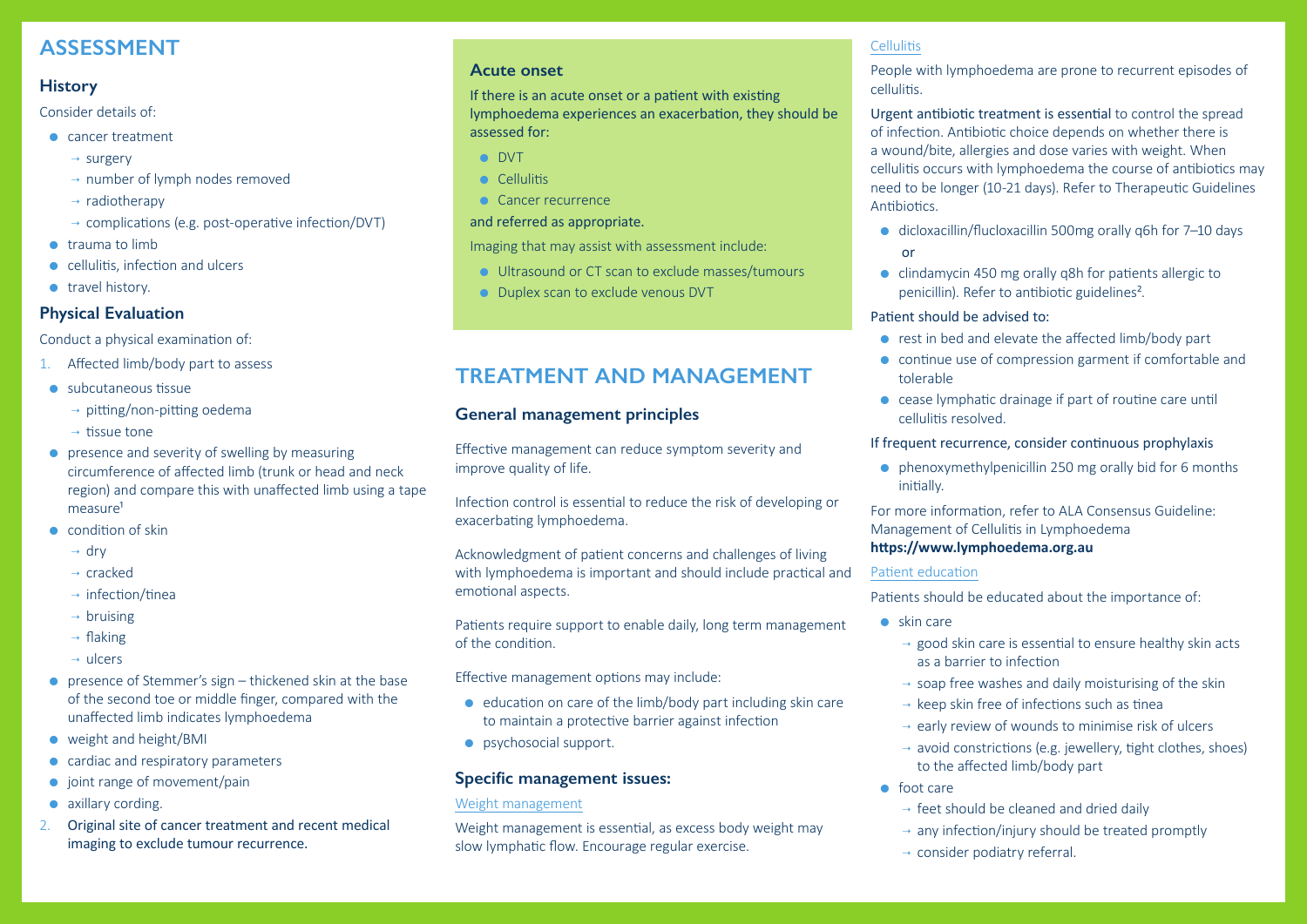# **ASSESSMENT**

# **History**

Consider details of:

- $\bullet$  cancer treatment
	- $\rightarrow$  surgery
	- $\rightarrow$  number of lymph nodes removed
	- $\rightarrow$  radiotherapy
	- $\rightarrow$  complications (e.g. post-operative infection/DVT)
- $\bullet$  trauma to limb
- $\bullet$  cellulitis, infection and ulcers
- $\bullet$  travel history.

# **Physical Evaluation**

Conduct a physical examination of:

- 1. Affected limb/body part to assess
- $\bullet$  subcutaneous tissue
	- $\rightarrow$  pitting/non-pitting oedema
	- $\rightarrow$  tissue tone
- $\bullet$  presence and severity of swelling by measuring circumference of affected limb (trunk or head and neck region) and compare this with unaffected limb using a tape measure<sup>1</sup>
- $\bullet$  condition of skin
	- $\rightarrow$  drv
	- $\rightarrow$  cracked
	- $\rightarrow$  infection/tinea
	- $\rightarrow$  bruising
	- $\rightarrow$  flaking
	- $\rightarrow$  ulcers
- **•** presence of Stemmer's sign thickened skin at the base of the second toe or middle finger, compared with the unaffected limb indicates lymphoedema
- $\bullet$  weight and height/BMI
- $\bullet$  cardiac and respiratory parameters
- $\bullet$  joint range of movement/pain
- $\bullet$  axillary cording.
- 2. Original site of cancer treatment and recent medical imaging to exclude tumour recurrence.

# **Acute onset**

If there is an acute onset or a patient with existing lymphoedema experiences an exacerbation, they should be assessed for:

- **•** DVT
- **Cellulitis**
- $\bullet$  Cancer recurrence

# and referred as appropriate.

Imaging that may assist with assessment include:

- Ultrasound or CT scan to exclude masses/tumours
- Duplex scan to exclude venous DVT

 $\bullet$  clindamycin 450 mg orally q8h for patients allergic to penicillin). Refer to antibiotic guidelines².

 $\bullet$  rest in bed and elevate the affected limb/body part

 $\bullet$  continue use of compression garment if comfortable and

 $\bullet$  cease lymphatic drainage if part of routine care until

# **TREATMENT AND MANAGEMENT**

# **General management principles**

Effective management can reduce symptom severity and improve quality of life.

Infection control is essential to reduce the risk of developing or exacerbating lymphoedema.

Acknowledgment of patient concerns and challenges of living with lymphoedema is important and should include practical and emotional aspects.

> $\rightarrow$  good skin care is essential to ensure healthy skin acts as a barrier to infection

 $\rightarrow$  soap free washes and daily moisturising of the skin

 $\rightarrow$  keep skin free of infections such as tinea

 $\rightarrow$  early review of wounds to minimise risk of ulcers

Patients require support to enable daily, long term management of the condition.

> $\rightarrow$  avoid constrictions (e.g. jewellery, tight clothes, shoes) to the affected limb/body part

 $\rightarrow$  feet should be cleaned and dried daily  $\rightarrow$  any infection/injury should be treated promptly  $\rightarrow$  consider podiatry referral.

Effective management options may include:

- $\bullet$  education on care of the limb/body part including skin care to maintain a protective barrier against infection
- $\bullet$  psychosocial support.

# **Specific management issues:**

# Weight management

Weight management is essential, as excess body weight may slow lymphatic flow. Encourage regular exercise.

# **Cellulitis**

People with lymphoedema are prone to recurrent episodes of

 $\bullet$  dicloxacillin/flucloxacillin 500mg orally q6h for 7–10 days

cellulitis.

Urgent antibiotic treatment is essential to control the spread of infection. Antibiotic choice depends on whether there is a wound/bite, allergies and dose varies with weight. When cellulitis occurs with lymphoedema the course of antibiotics may need to be longer (10-21 days). Refer to Therapeutic Guidelines Antibiotics.

or

# Patient should be advised to:

- tolerable
- cellulitis resolved.

If frequent recurrence, consider continuous prophylaxis

 $\bullet$  phenoxymethylpenicillin 250 mg orally bid for 6 months

initially.

For more information, refer to ALA Consensus Guideline: Management of Cellulitis in Lymphoedema

# **https://www.lymphoedema.org.au**

# Patient education

Patients should be educated about the importance of:

- $\bullet$  skin care
	-
	-
	-
	-
	-
- $\bullet$  foot care
	-
	-
	-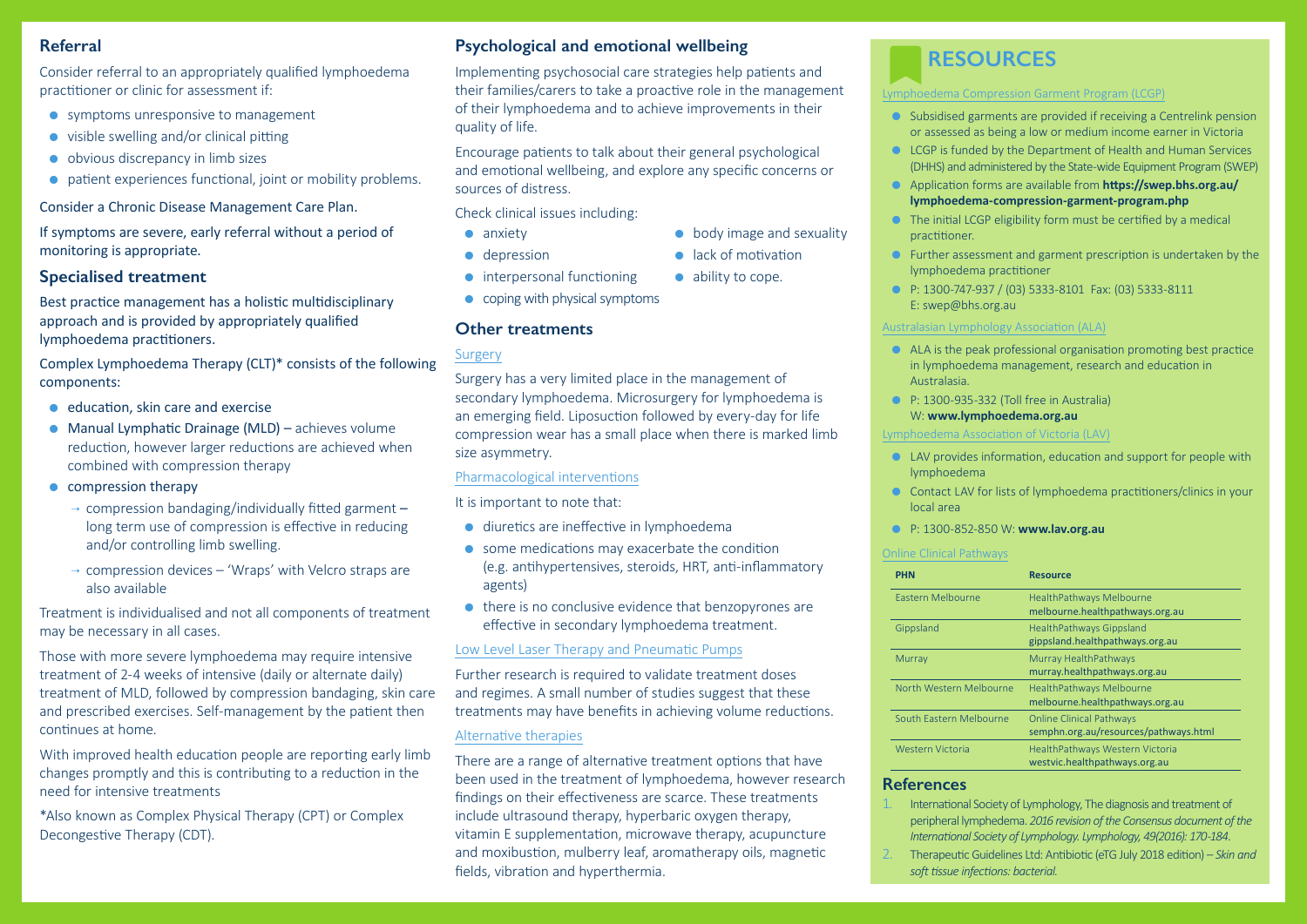# **Referral**

Consider referral to an appropriately qualified lymphoedema practitioner or clinic for assessment if:

- $\bullet$  symptoms unresponsive to management
- $\bullet$  visible swelling and/or clinical pitting
- $\bullet$  obvious discrepancy in limb sizes
- $\bullet$  patient experiences functional, joint or mobility problems.

Consider a Chronic Disease Management Care Plan.

If symptoms are severe, early referral without a period of monitoring is appropriate.

## **Specialised treatment**

Best practice management has a holistic multidisciplinary approach and is provided by appropriately qualified lymphoedema practitioners.

- $\bullet$  education, skin care and exercise
- $\bullet$  Manual Lymphatic Drainage (MLD) achieves volume reduction, however larger reductions are achieved when combined with compression therapy
- $\bullet$  compression therapy
	- $\rightarrow$  compression bandaging/individually fitted garment  $\rightarrow$ long term use of compression is effective in reducing and/or controlling limb swelling.
	- $\rightarrow$  compression devices 'Wraps' with Velcro straps are also available

Complex Lymphoedema Therapy (CLT)\* consists of the following components:

 $\bullet$  Subsidised garments are provided if receiving a Centrelink pension or assessed as being a low or medium income earner in Victoria

 $\bullet$  LCGP is funded by the Department of Health and Human Services (DHHS) and administered by the State-wide Equipment Program (SWEP)

**•** Application forms are available from **https://swep.bhs.org.au/ lymphoedema-compression-garment-program.php**

 $\bullet$  The initial LCGP eligibility form must be certified by a medical

 $\bullet$  Further assessment and garment prescription is undertaken by the

Treatment is individualised and not all components of treatment may be necessary in all cases.

 $\bullet$  ALA is the peak professional organisation promoting best practice in lymphoedema management, research and education in

 $\bullet$  P: 1300-935-332 (Toll free in Australia) W: **www.lymphoedema.org.au**

Those with more severe lymphoedema may require intensive treatment of 2-4 weeks of intensive (daily or alternate daily) treatment of MLD, followed by compression bandaging, skin care and prescribed exercises. Self-management by the patient then continues at home.

With improved health education people are reporting early limb changes promptly and this is contributing to a reduction in the need for intensive treatments

\*Also known as Complex Physical Therapy (CPT) or Complex Decongestive Therapy (CDT).

# **RESOURCES**

#### Lymphoedema Compression Garment Program (LCGP)

- 
- 
- 
- practitioner.
- lymphoedema practitioner
- E: swep@bhs.org.au

z P: 1300-747-937 / (03) 5333-8101 Fax: (03) 5333-8111

- $\bullet$  diuretics are ineffective in lymphoedema
- $\bullet$  some medications may exacerbate the condition (e.g. antihypertensives, steroids, HRT, anti-inflammatory agents)
- $\bullet$  there is no conclusive evidence that benzopyrones are effective in secondary lymphoedema treatment.

Australasian Lymphology Association (ALA)

- Australasia.
- 

Lymphoedema Association of Victoria (LAV)

 $\bullet$  LAV provides information, education and support for people with

**•** Contact LAV for lists of lymphoedema practitioners/clinics in your

- lymphoedema
- local area
- 

#### z P: 1300-852-850 W: **www.lav.org.au**

#### Online Clinical Pathways

# **Psychological and emotional wellbeing**

Implementing psychosocial care strategies help patients and their families/carers to take a proactive role in the management of their lymphoedema and to achieve improvements in their quality of life.

Encourage patients to talk about their general psychological and emotional wellbeing, and explore any specific concerns or sources of distress.

 $\bullet$  body image and sexuality

 $\bullet$  lack of motivation

 $\bullet$  ability to cope.

Check clinical issues including:

- $\bullet$  anxiety
- $\bullet$  depression
- $\bullet$  interpersonal functioning
- $\bullet$  coping with physical symptoms

### **References**

1. International Society of Lymphology, The diagnosis and treatment of peripheral lymphedema. *2016 revision of the Consensus document of the International Society of Lymphology. Lymphology, 49(2016): 170-184.*

2. Therapeutic Guidelines Ltd: Antibiotic (eTG July 2018 edition) *– Skin and* 

- 
- *soft tissue infections: bacterial.*

| <b>PHN</b>        | <b>Resource</b> |
|-------------------|-----------------|
| Eastern Melbourne | HealthPat       |
|                   | melbourr        |

Gippsland

Murray

South Fastern Melbo

| <b>PHN</b>              | <b>Resource</b>                                                          |
|-------------------------|--------------------------------------------------------------------------|
| Eastern Melbourne       | <b>HealthPathways Melbourne</b><br>melbourne.healthpathways.org.au       |
| Gippsland               | HealthPathways Gippsland<br>gippsland.healthpathways.org.au              |
| Murray                  | Murray HealthPathways<br>murray.healthpathways.org.au                    |
| North Western Melbourne | <b>HealthPathways Melbourne</b><br>melbourne.healthpathways.org.au       |
| South Eastern Melbourne | <b>Online Clinical Pathways</b><br>semphn.org.au/resources/pathways.html |
| Western Victoria        | HealthPathways Western Victoria<br>westvic.healthpathways.org.au         |
|                         |                                                                          |

# **Other treatments**

### Surgery

Surgery has a very limited place in the management of secondary lymphoedema. Microsurgery for lymphoedema is an emerging field. Liposuction followed by every-day for life compression wear has a small place when there is marked limb size asymmetry.

### Pharmacological interventions

It is important to note that:

### Low Level Laser Therapy and Pneumatic Pumps

Further research is required to validate treatment doses and regimes. A small number of studies suggest that these treatments may have benefits in achieving volume reductions.

### Alternative therapies

There are a range of alternative treatment options that have been used in the treatment of lymphoedema, however research findings on their effectiveness are scarce. These treatments include ultrasound therapy, hyperbaric oxygen therapy, vitamin E supplementation, microwave therapy, acupuncture and moxibustion, mulberry leaf, aromatherapy oils, magnetic fields, vibration and hyperthermia.